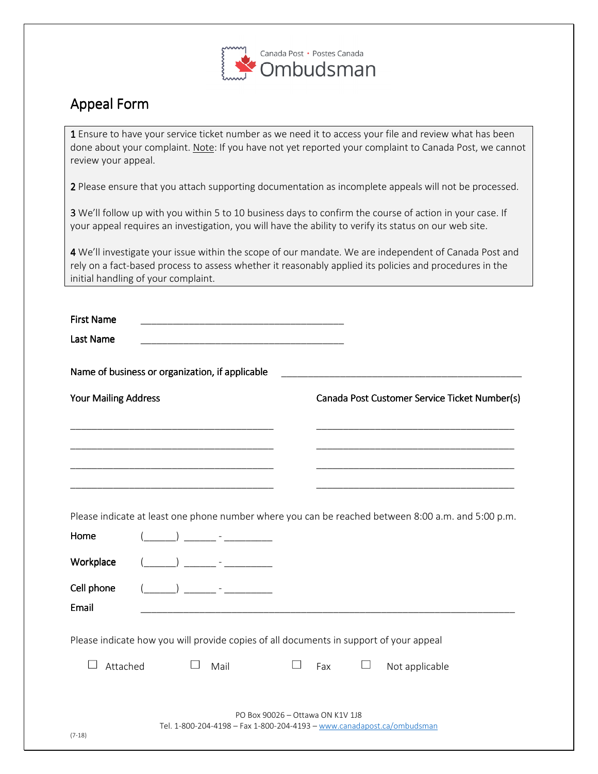

## Appeal Form

1 Ensure to have your service ticket number as we need it to access your file and review what has been done about your complaint. Note: If you have not yet reported your complaint to Canada Post, we cannot review your appeal.

2 Please ensure that you attach supporting documentation as incomplete appeals will not be processed.

3 We'll follow up with you within 5 to 10 business days to confirm the course of action in your case. If your appeal requires an investigation, you will have the ability to verify its status on our web site.

4 We'll investigate your issue within the scope of our mandate. We are independent of Canada Post and rely on a fact-based process to assess whether it reasonably applied its policies and procedures in the initial handling of your complaint.

| <b>First Name</b>                                                                      |  | the control of the control of the control of the control of the control of the control of                                                                                                                                                                                                                                                                                                                                                                                       |                                  |                                               |   |                                                                                                    |  |
|----------------------------------------------------------------------------------------|--|---------------------------------------------------------------------------------------------------------------------------------------------------------------------------------------------------------------------------------------------------------------------------------------------------------------------------------------------------------------------------------------------------------------------------------------------------------------------------------|----------------------------------|-----------------------------------------------|---|----------------------------------------------------------------------------------------------------|--|
| Last Name                                                                              |  |                                                                                                                                                                                                                                                                                                                                                                                                                                                                                 |                                  |                                               |   |                                                                                                    |  |
| Name of business or organization, if applicable                                        |  |                                                                                                                                                                                                                                                                                                                                                                                                                                                                                 |                                  |                                               |   |                                                                                                    |  |
| <b>Your Mailing Address</b>                                                            |  |                                                                                                                                                                                                                                                                                                                                                                                                                                                                                 |                                  | Canada Post Customer Service Ticket Number(s) |   |                                                                                                    |  |
|                                                                                        |  |                                                                                                                                                                                                                                                                                                                                                                                                                                                                                 |                                  |                                               |   |                                                                                                    |  |
|                                                                                        |  |                                                                                                                                                                                                                                                                                                                                                                                                                                                                                 |                                  |                                               |   |                                                                                                    |  |
|                                                                                        |  |                                                                                                                                                                                                                                                                                                                                                                                                                                                                                 |                                  |                                               |   |                                                                                                    |  |
|                                                                                        |  |                                                                                                                                                                                                                                                                                                                                                                                                                                                                                 |                                  |                                               |   | Please indicate at least one phone number where you can be reached between 8:00 a.m. and 5:00 p.m. |  |
| Home                                                                                   |  | $\begin{pmatrix} 1 & 1 \\ 1 & 1 \end{pmatrix}$                                                                                                                                                                                                                                                                                                                                                                                                                                  |                                  |                                               |   |                                                                                                    |  |
| Workplace                                                                              |  | $\overline{\phantom{a}}$ $\overline{\phantom{a}}$ $\overline{\phantom{a}}$ $\overline{\phantom{a}}$ $\overline{\phantom{a}}$ $\overline{\phantom{a}}$ $\overline{\phantom{a}}$ $\overline{\phantom{a}}$ $\overline{\phantom{a}}$ $\overline{\phantom{a}}$ $\overline{\phantom{a}}$ $\overline{\phantom{a}}$ $\overline{\phantom{a}}$ $\overline{\phantom{a}}$ $\overline{\phantom{a}}$ $\overline{\phantom{a}}$ $\overline{\phantom{a}}$ $\overline{\phantom{a}}$ $\overline{\$ |                                  |                                               |   |                                                                                                    |  |
| Cell phone                                                                             |  | $\left( \begin{array}{ccc} 0 & 0 & 0 \\ 0 & 0 & 0 \\ 0 & 0 & 0 \\ 0 & 0 & 0 \\ 0 & 0 & 0 \\ 0 & 0 & 0 \\ 0 & 0 & 0 \\ 0 & 0 & 0 \\ 0 & 0 & 0 \\ 0 & 0 & 0 \\ 0 & 0 & 0 \\ 0 & 0 & 0 \\ 0 & 0 & 0 \\ 0 & 0 & 0 & 0 \\ 0 & 0 & 0 & 0 \\ 0 & 0 & 0 & 0 \\ 0 & 0 & 0 & 0 \\ 0 & 0 & 0 & 0 & 0 \\ 0 & 0 & 0 & 0 & 0 \\ 0 & 0 & 0 & 0 & 0 \\$                                                                                                                                         |                                  |                                               |   |                                                                                                    |  |
| Email                                                                                  |  |                                                                                                                                                                                                                                                                                                                                                                                                                                                                                 |                                  |                                               |   |                                                                                                    |  |
| Please indicate how you will provide copies of all documents in support of your appeal |  |                                                                                                                                                                                                                                                                                                                                                                                                                                                                                 |                                  |                                               |   |                                                                                                    |  |
| Attached                                                                               |  | Mail                                                                                                                                                                                                                                                                                                                                                                                                                                                                            |                                  | Fax                                           | ப | Not applicable                                                                                     |  |
| $(7-18)$                                                                               |  |                                                                                                                                                                                                                                                                                                                                                                                                                                                                                 | PO Box 90026 - Ottawa ON K1V 1J8 |                                               |   | Tel. 1-800-204-4198 - Fax 1-800-204-4193 - www.canadapost.ca/ombudsman                             |  |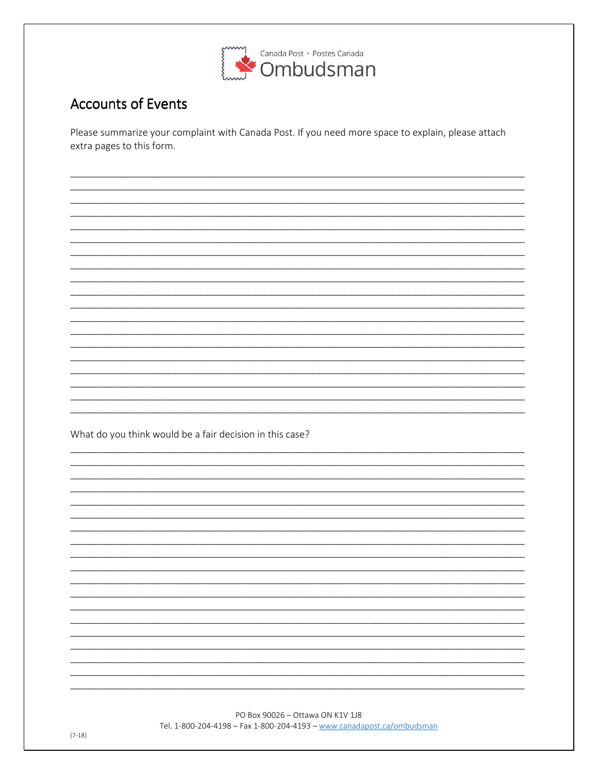

## **Accounts of Events**

Please summarize your complaint with Canada Post. If you need more space to explain, please attach extra pages to this form.

What do you think would be a fair decision in this case?